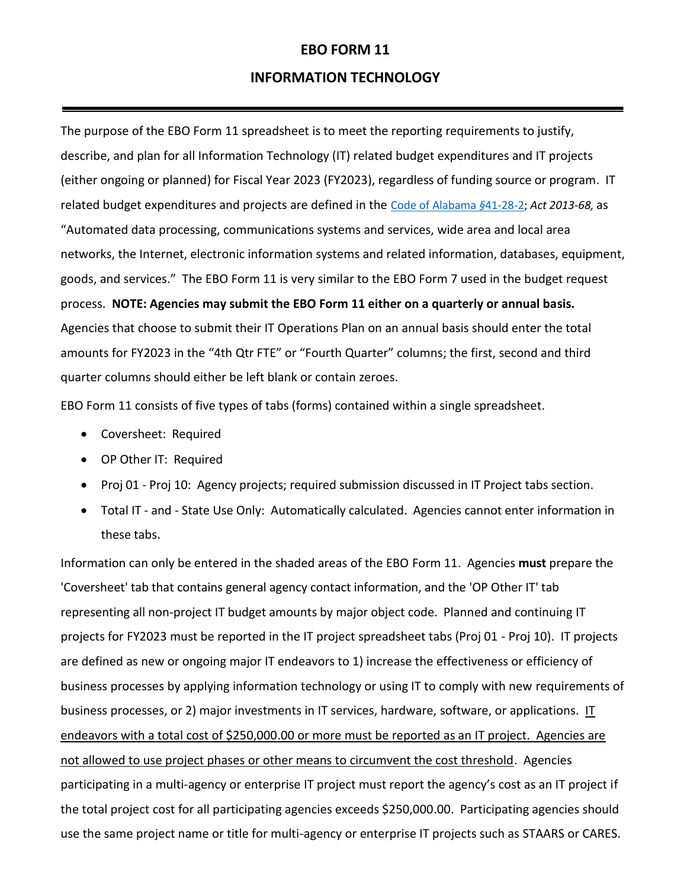### **EBO FORM 11**

#### **INFORMATION TECHNOLOGY**

The purpose of the EBO Form 11 spreadsheet is to meet the reporting requirements to justify, describe, and plan for all Information Technology (IT) related budget expenditures and IT projects (either ongoing or planned) for Fiscal Year 2023 (FY2023), regardless of funding source or program. IT related budget expenditures and projects are defined in the [Code of Alabama](http://alisondb.legislature.state.al.us/alison/codeofalabama/1975/41-28-2.htm) *§*41-28-2; *Act 2013-68,* as "Automated data processing, communications systems and services, wide area and local area networks, the Internet, electronic information systems and related information, databases, equipment, goods, and services." The EBO Form 11 is very similar to the EBO Form 7 used in the budget request process. **NOTE: Agencies may submit the EBO Form 11 either on a quarterly or annual basis.** Agencies that choose to submit their IT Operations Plan on an annual basis should enter the total amounts for FY2023 in the "4th Qtr FTE" or "Fourth Quarter" columns; the first, second and third quarter columns should either be left blank or contain zeroes.

EBO Form 11 consists of five types of tabs (forms) contained within a single spreadsheet.

- Coversheet: Required
- OP Other IT: Required
- Proj 01 Proj 10: Agency projects; required submission discussed in IT Project tabs section.
- Total IT and State Use Only: Automatically calculated. Agencies cannot enter information in these tabs.

Information can only be entered in the shaded areas of the EBO Form 11. Agencies **must** prepare the 'Coversheet' tab that contains general agency contact information, and the 'OP Other IT' tab representing all non-project IT budget amounts by major object code. Planned and continuing IT projects for FY2023 must be reported in the IT project spreadsheet tabs (Proj 01 - Proj 10). IT projects are defined as new or ongoing major IT endeavors to 1) increase the effectiveness or efficiency of business processes by applying information technology or using IT to comply with new requirements of business processes, or 2) major investments in IT services, hardware, software, or applications. IT endeavors with a total cost of \$250,000.00 or more must be reported as an IT project. Agencies are not allowed to use project phases or other means to circumvent the cost threshold. Agencies participating in a multi-agency or enterprise IT project must report the agency's cost as an IT project if the total project cost for all participating agencies exceeds \$250,000.00. Participating agencies should use the same project name or title for multi-agency or enterprise IT projects such as STAARS or CARES.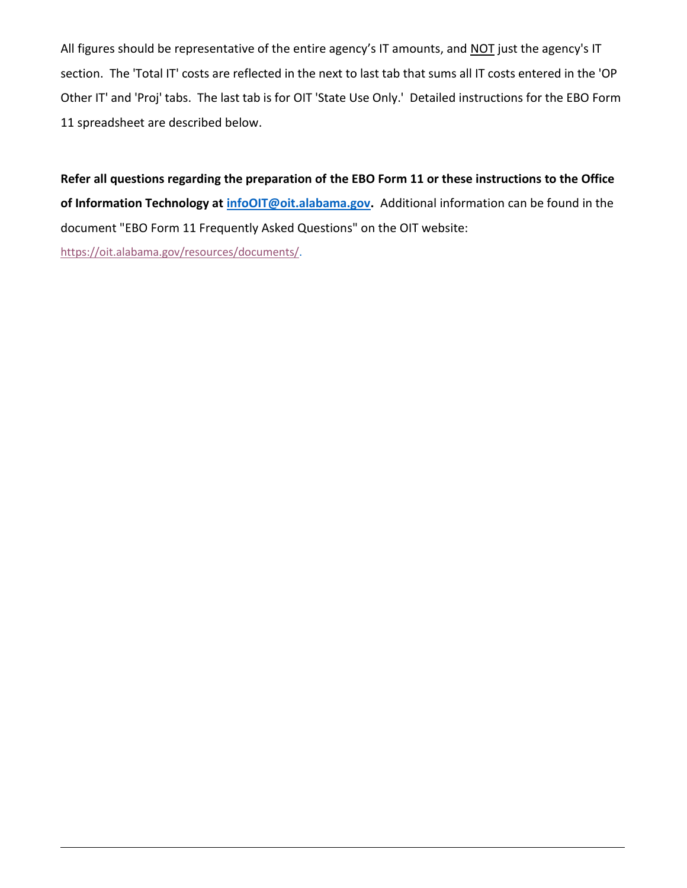All figures should be representative of the entire agency's IT amounts, and NOT just the agency's IT section. The 'Total IT' costs are reflected in the next to last tab that sums all IT costs entered in the 'OP Other IT' and 'Proj' tabs. The last tab is for OIT 'State Use Only.' Detailed instructions for the EBO Form 11 spreadsheet are described below.

**Refer all questions regarding the preparation of the EBO Form 11 or these instructions to the Office of Information Technology at [infoOIT@oit.alabama.gov.](mailto:infoOIT@oit.alabama.gov?subject=EBO%20Form%2011)** Additional information can be found in the document "EBO Form 11 Frequently Asked Questions" on the OIT website: [https://oit.alabama.gov/resources/documents/.](https://oit.alabama.gov/resources/documents/)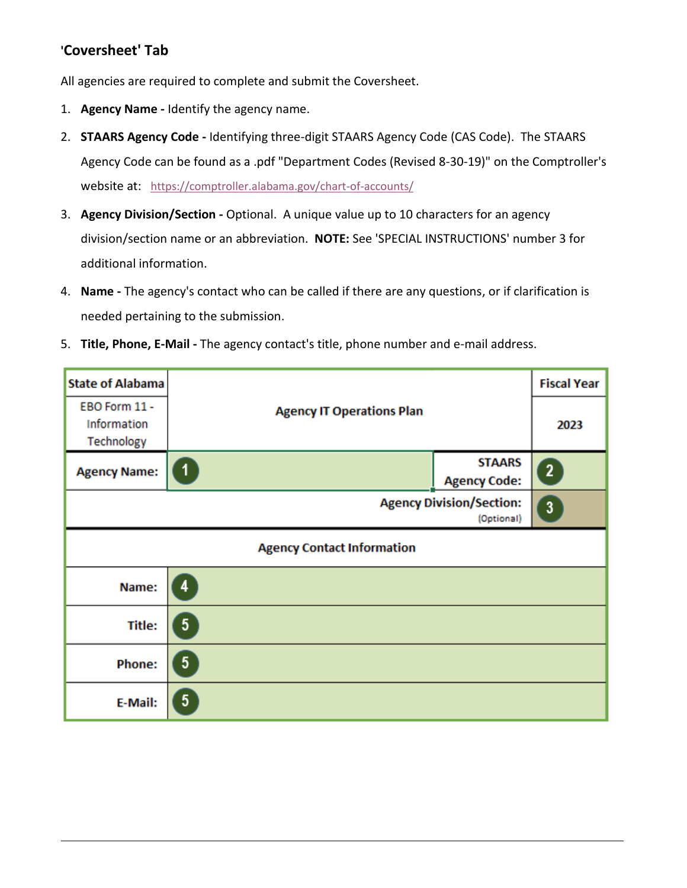# **'Coversheet' Tab**

All agencies are required to complete and submit the Coversheet.

- 1. **Agency Name -** Identify the agency name.
- 2. **STAARS Agency Code -** Identifying three-digit STAARS Agency Code (CAS Code). The STAARS Agency Code can be found as a .pdf "Department Codes (Revised 8-30-19)" on the Comptroller's website at: <https://comptroller.alabama.gov/chart-of-accounts/>
- 3. **Agency Division/Section -** Optional. A unique value up to 10 characters for an agency division/section name or an abbreviation. **NOTE:** See 'SPECIAL INSTRUCTIONS' number 3 for additional information.
- 4. **Name -** The agency's contact who can be called if there are any questions, or if clarification is needed pertaining to the submission.
- 5. **Title, Phone, E-Mail -** The agency contact's title, phone number and e-mail address.

| <b>State of Alabama</b>                    | <b>Agency IT Operations Plan</b>  |                                               | <b>Fiscal Year</b> |
|--------------------------------------------|-----------------------------------|-----------------------------------------------|--------------------|
| EBO Form 11 -<br>Information<br>Technology |                                   |                                               | 2023               |
| <b>Agency Name:</b>                        | $\mathbf 1$                       | <b>STAARS</b><br><b>Agency Code:</b>          | $\overline{2}$     |
|                                            |                                   | <b>Agency Division/Section:</b><br>(Optional) | $\mathbf{3}$       |
|                                            | <b>Agency Contact Information</b> |                                               |                    |
| Name:                                      | 4                                 |                                               |                    |
| Title:                                     | $\sqrt{5}$                        |                                               |                    |
| <b>Phone:</b>                              | 5                                 |                                               |                    |
| E-Mail:                                    | $\sqrt{5}$                        |                                               |                    |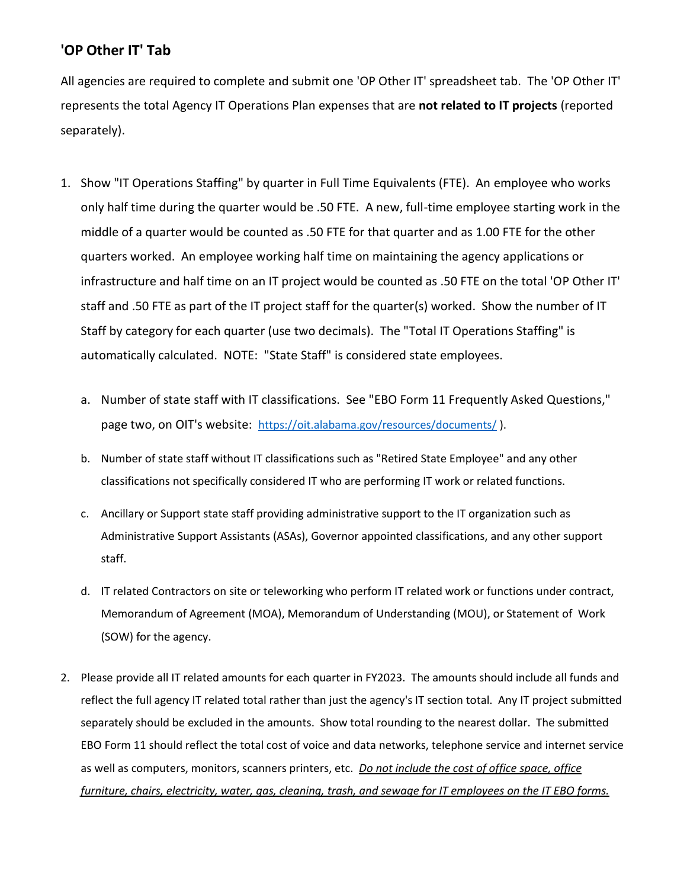## **'OP Other IT' Tab**

All agencies are required to complete and submit one 'OP Other IT' spreadsheet tab. The 'OP Other IT' represents the total Agency IT Operations Plan expenses that are **not related to IT projects** (reported separately).

- 1. Show "IT Operations Staffing" by quarter in Full Time Equivalents (FTE). An employee who works only half time during the quarter would be .50 FTE. A new, full-time employee starting work in the middle of a quarter would be counted as .50 FTE for that quarter and as 1.00 FTE for the other quarters worked. An employee working half time on maintaining the agency applications or infrastructure and half time on an IT project would be counted as .50 FTE on the total 'OP Other IT' staff and .50 FTE as part of the IT project staff for the quarter(s) worked. Show the number of IT Staff by category for each quarter (use two decimals). The "Total IT Operations Staffing" is automatically calculated. NOTE: "State Staff" is considered state employees.
	- a. Number of state staff with IT classifications. See "EBO Form 11 Frequently Asked Questions," page two, on OIT's website: <https://oit.alabama.gov/resources/documents/>).
	- b. Number of state staff without IT classifications such as "Retired State Employee" and any other classifications not specifically considered IT who are performing IT work or related functions.
	- c. Ancillary or Support state staff providing administrative support to the IT organization such as Administrative Support Assistants (ASAs), Governor appointed classifications, and any other support staff.
	- d. IT related Contractors on site or teleworking who perform IT related work or functions under contract, Memorandum of Agreement (MOA), Memorandum of Understanding (MOU), or Statement of Work (SOW) for the agency.
- 2. Please provide all IT related amounts for each quarter in FY2023. The amounts should include all funds and reflect the full agency IT related total rather than just the agency's IT section total. Any IT project submitted separately should be excluded in the amounts. Show total rounding to the nearest dollar. The submitted EBO Form 11 should reflect the total cost of voice and data networks, telephone service and internet service as well as computers, monitors, scanners printers, etc. *Do not include the cost of office space, office furniture, chairs, electricity, water, gas, cleaning, trash, and sewage for IT employees on the IT EBO forms.*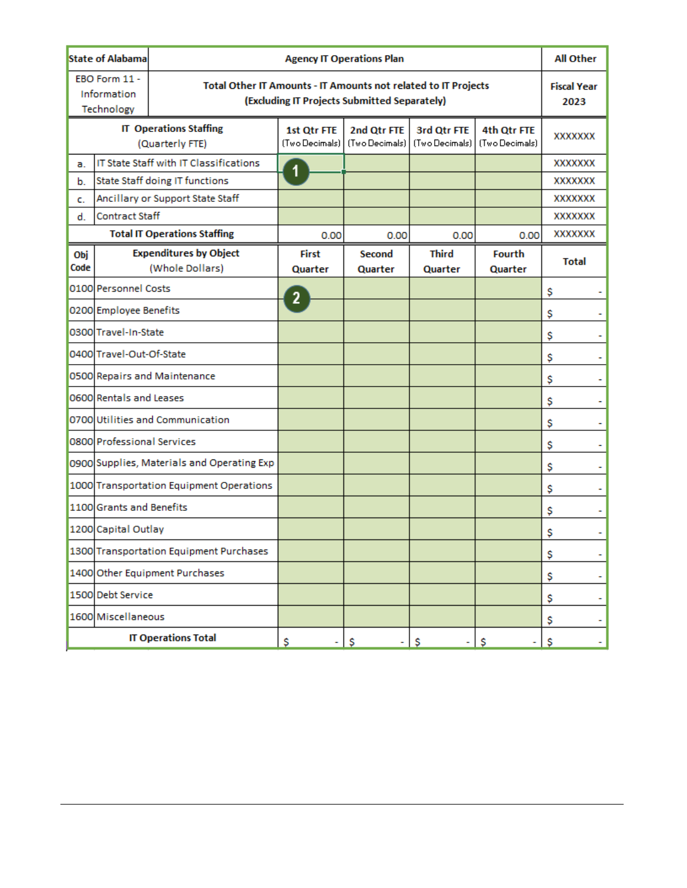| <b>State of Alabama</b>                          |                                        | <b>Agency IT Operations Plan</b>                                                                               |                               |                               |                               |                   | <b>All Other</b>           |
|--------------------------------------------------|----------------------------------------|----------------------------------------------------------------------------------------------------------------|-------------------------------|-------------------------------|-------------------------------|-------------------|----------------------------|
| EBO Form 11 -<br>Information<br>Technology       |                                        | Total Other IT Amounts - IT Amounts not related to IT Projects<br>(Excluding IT Projects Submitted Separately) |                               |                               |                               |                   | <b>Fiscal Year</b><br>2023 |
| <b>IT Operations Staffing</b><br>(Quarterly FTE) |                                        | 1st Otr FTE<br>(Two Decimals)                                                                                  | 2nd Qtr FTE<br>(Two Decimals) | 3rd Otr FTE<br>(Two Decimals) | 4th Otr FTE<br>(Two Decimals) | <b>XXXXXXX</b>    |                            |
| a.                                               | IT State Staff with IT Classifications |                                                                                                                |                               |                               |                               |                   | <b>XXXXXXX</b>             |
| b.                                               | State Staff doing IT functions         |                                                                                                                |                               |                               |                               |                   | <b>XXXXXXX</b>             |
| c.                                               | Ancillary or Support State Staff       |                                                                                                                |                               |                               |                               |                   | <b>XXXXXXX</b>             |
| <b>Contract Staff</b><br>d.                      |                                        |                                                                                                                |                               |                               |                               | <b>XXXXXXXX</b>   |                            |
| <b>Total IT Operations Staffing</b>              |                                        | 0.00                                                                                                           | 0.00                          | 0.00                          | 0.00                          | <b>XXXXXXXX</b>   |                            |
| Obj<br>Code                                      |                                        | <b>Expenditures by Object</b><br>(Whole Dollars)                                                               | First<br>Quarter              | Second<br>Quarter             | <b>Third</b><br>Quarter       | Fourth<br>Quarter | <b>Total</b>               |
|                                                  | 0100 Personnel Costs                   |                                                                                                                | 2                             |                               |                               |                   | \$                         |
|                                                  | 0200 Employee Benefits                 |                                                                                                                |                               |                               |                               |                   | \$                         |
|                                                  | 0300 Travel-In-State                   |                                                                                                                |                               |                               |                               |                   | \$                         |
|                                                  | 0400 Travel-Out-Of-State               |                                                                                                                |                               |                               |                               |                   | \$                         |
|                                                  |                                        | 0500 Repairs and Maintenance                                                                                   |                               |                               |                               |                   | Ş                          |
|                                                  | 0600 Rentals and Leases                |                                                                                                                |                               |                               |                               |                   | Ş                          |
|                                                  |                                        | 0700 Utilities and Communication                                                                               |                               |                               |                               |                   | \$                         |
|                                                  | 0800 Professional Services             |                                                                                                                |                               |                               |                               |                   | \$                         |
|                                                  |                                        | 0900 Supplies, Materials and Operating Exp                                                                     |                               |                               |                               |                   | \$                         |
|                                                  |                                        | 1000 Transportation Equipment Operations                                                                       |                               |                               |                               |                   | \$                         |
|                                                  | 1100 Grants and Benefits               |                                                                                                                |                               |                               |                               |                   | \$                         |
|                                                  | 1200 Capital Outlay                    |                                                                                                                |                               |                               |                               |                   | \$                         |
|                                                  |                                        | 1300 Transportation Equipment Purchases                                                                        |                               |                               |                               |                   | \$<br>۰                    |
|                                                  |                                        | 1400 Other Equipment Purchases                                                                                 |                               |                               |                               |                   | \$<br>۰                    |
|                                                  | 1500 Debt Service                      |                                                                                                                |                               |                               |                               |                   | \$<br>۰                    |
|                                                  | 1600 Miscellaneous                     |                                                                                                                |                               |                               |                               |                   | \$                         |
|                                                  |                                        | <b>IT Operations Total</b>                                                                                     | \$                            | - \$                          | $-$ \$                        | - 1\$<br>۰.       | -S<br>- 1                  |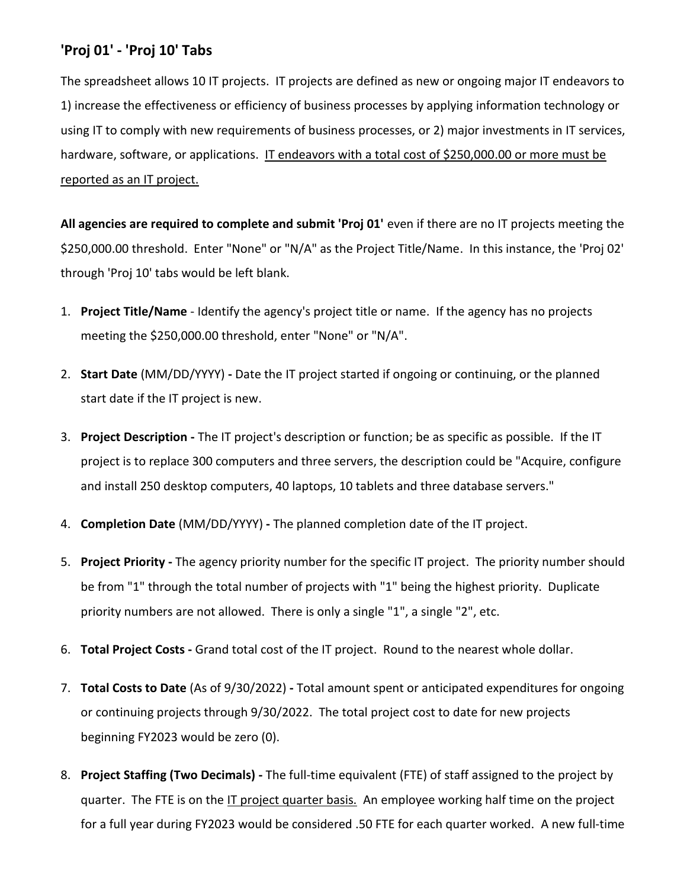# **'Proj 01' - 'Proj 10' Tabs**

The spreadsheet allows 10 IT projects. IT projects are defined as new or ongoing major IT endeavors to 1) increase the effectiveness or efficiency of business processes by applying information technology or using IT to comply with new requirements of business processes, or 2) major investments in IT services, hardware, software, or applications. IT endeavors with a total cost of \$250,000.00 or more must be reported as an IT project.

All agencies are required to complete and submit 'Proj 01' even if there are no IT projects meeting the \$250,000.00 threshold. Enter "None" or "N/A" as the Project Title/Name. In this instance, the 'Proj 02' through 'Proj 10' tabs would be left blank.

- 1. **Project Title/Name** Identify the agency's project title or name. If the agency has no projects meeting the \$250,000.00 threshold, enter "None" or "N/A".
- 2. **Start Date** (MM/DD/YYYY) **-** Date the IT project started if ongoing or continuing, or the planned start date if the IT project is new.
- 3. **Project Description -** The IT project's description or function; be as specific as possible. If the IT project is to replace 300 computers and three servers, the description could be "Acquire, configure and install 250 desktop computers, 40 laptops, 10 tablets and three database servers."
- 4. **Completion Date** (MM/DD/YYYY) **-** The planned completion date of the IT project.
- 5. **Project Priority -** The agency priority number for the specific IT project. The priority number should be from "1" through the total number of projects with "1" being the highest priority. Duplicate priority numbers are not allowed. There is only a single "1", a single "2", etc.
- 6. **Total Project Costs -** Grand total cost of the IT project. Round to the nearest whole dollar.
- 7. **Total Costs to Date** (As of 9/30/2022) **-** Total amount spent or anticipated expenditures for ongoing or continuing projects through 9/30/2022. The total project cost to date for new projects beginning FY2023 would be zero (0).
- 8. **Project Staffing (Two Decimals) -** The full-time equivalent (FTE) of staff assigned to the project by quarter. The FTE is on the IT project quarter basis. An employee working half time on the project for a full year during FY2023 would be considered .50 FTE for each quarter worked. A new full-time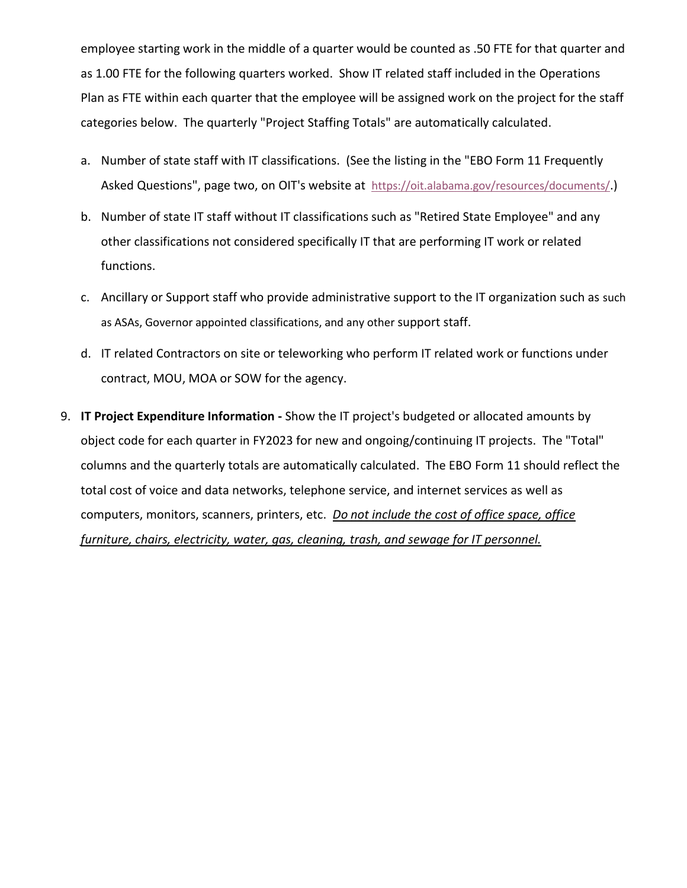employee starting work in the middle of a quarter would be counted as .50 FTE for that quarter and as 1.00 FTE for the following quarters worked. Show IT related staff included in the Operations Plan as FTE within each quarter that the employee will be assigned work on the project for the staff categories below. The quarterly "Project Staffing Totals" are automatically calculated.

- a. Number of state staff with IT classifications. (See the listing in the "EBO Form 11 Frequently Asked Questions", page two, on OIT's website at <https://oit.alabama.gov/resources/documents/>.)
- b. Number of state IT staff without IT classifications such as "Retired State Employee" and any other classifications not considered specifically IT that are performing IT work or related functions.
- c. Ancillary or Support staff who provide administrative support to the IT organization such as such as ASAs, Governor appointed classifications, and any other support staff.
- d. IT related Contractors on site or teleworking who perform IT related work or functions under contract, MOU, MOA or SOW for the agency.
- 9. **IT Project Expenditure Information -** Show the IT project's budgeted or allocated amounts by object code for each quarter in FY2023 for new and ongoing/continuing IT projects. The "Total" columns and the quarterly totals are automatically calculated. The EBO Form 11 should reflect the total cost of voice and data networks, telephone service, and internet services as well as computers, monitors, scanners, printers, etc. *Do not include the cost of office space, office furniture, chairs, electricity, water, gas, cleaning, trash, and sewage for IT personnel.*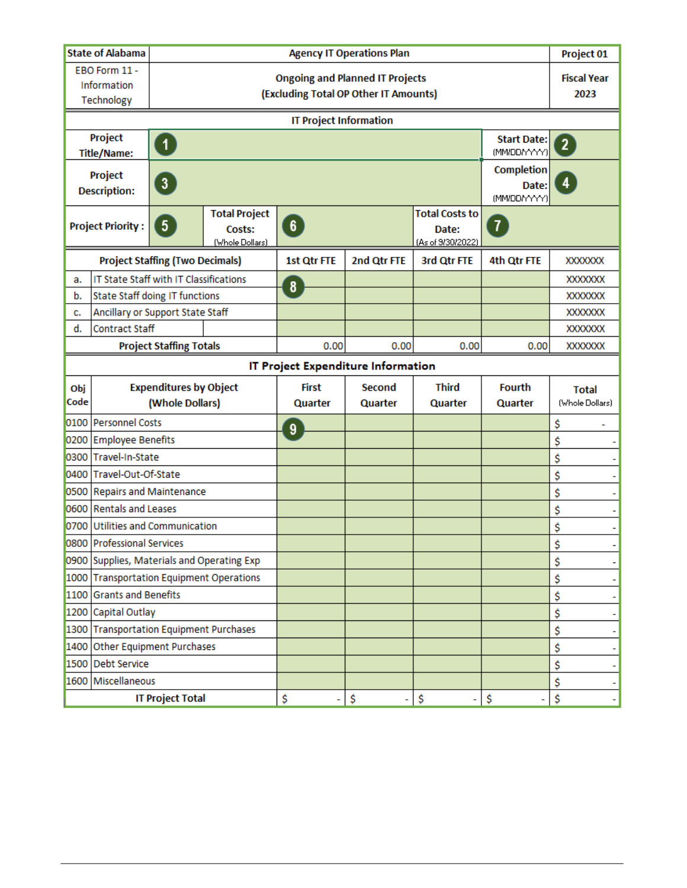| <b>State of Alabama</b>                          |                                                                 | <b>Agency IT Operations Plan</b>                                                |                                                   |                                                                   | Project 01                         |                                     |                                 |                                 |
|--------------------------------------------------|-----------------------------------------------------------------|---------------------------------------------------------------------------------|---------------------------------------------------|-------------------------------------------------------------------|------------------------------------|-------------------------------------|---------------------------------|---------------------------------|
|                                                  | EBO Form 11 -<br>Information<br>Technology                      | <b>Ongoing and Planned IT Projects</b><br>(Excluding Total OP Other IT Amounts) |                                                   |                                                                   |                                    |                                     |                                 | <b>Fiscal Year</b><br>2023      |
|                                                  | <b>IT Project Information</b>                                   |                                                                                 |                                                   |                                                                   |                                    |                                     |                                 |                                 |
| Project<br>$\vert 1 \vert$<br><b>Title/Name:</b> |                                                                 |                                                                                 |                                                   |                                                                   | <b>Start Date:</b><br>(MM/DD/YYYY) | $\mathbf{2}^{\circ}$                |                                 |                                 |
| Project<br>$\boxed{3}$<br><b>Description:</b>    |                                                                 |                                                                                 |                                                   |                                                                   |                                    | Completion<br>Date:<br>(MM/DD/YYYY) | 4                               |                                 |
|                                                  | <b>Project Priority:</b>                                        | 5 <sup>1</sup>                                                                  | <b>Total Project</b><br>Costs:<br>(Whole Dollars) | <b>Total Costs to</b><br>$\sqrt{6}$<br>Date:<br>(As of 9/30/2022) |                                    | $\boldsymbol{\hat{v}}$              |                                 |                                 |
|                                                  |                                                                 | <b>Project Staffing (Two Decimals)</b>                                          |                                                   | 1st Qtr FTE                                                       | 2nd Qtr FTE                        | 3rd Qtr FTE                         | 4th Qtr FTE                     | <b>XXXXXXX</b>                  |
| a.                                               | IT State Staff with IT Classifications                          |                                                                                 |                                                   | 8                                                                 |                                    |                                     |                                 | <b>XXXXXXX</b>                  |
| b.                                               | <b>State Staff doing IT functions</b>                           |                                                                                 |                                                   |                                                                   |                                    |                                     |                                 | <b>XXXXXXX</b>                  |
| c.                                               | Ancillary or Support State Staff                                |                                                                                 |                                                   |                                                                   |                                    |                                     |                                 | <b>XXXXXXX</b>                  |
| d.                                               | <b>Contract Staff</b>                                           |                                                                                 |                                                   |                                                                   |                                    |                                     |                                 | <b>XXXXXXX</b>                  |
|                                                  | <b>Project Staffing Totals</b>                                  |                                                                                 | 0.00                                              | 0.00                                                              | 0.00                               | 0.00                                | <b>XXXXXXX</b>                  |                                 |
|                                                  | IT Project Expenditure Information                              |                                                                                 |                                                   |                                                                   |                                    |                                     |                                 |                                 |
|                                                  | <b>Expenditures by Object</b><br>Obj<br>Code<br>(Whole Dollars) |                                                                                 |                                                   |                                                                   |                                    |                                     |                                 |                                 |
|                                                  |                                                                 |                                                                                 |                                                   | <b>First</b><br>Quarter                                           | Second<br>Quarter                  | <b>Third</b><br>Quarter             | <b>Fourth</b><br><b>Quarter</b> | <b>Total</b><br>(Whole Dollars) |
|                                                  | 0100 Personnel Costs                                            |                                                                                 |                                                   |                                                                   |                                    |                                     |                                 | \$                              |
|                                                  | 0200 Employee Benefits                                          |                                                                                 |                                                   | 9                                                                 |                                    |                                     |                                 | \$                              |
| 0300                                             | Travel-In-State                                                 |                                                                                 |                                                   |                                                                   |                                    |                                     |                                 | \$                              |
|                                                  | 0400 Travel-Out-Of-State                                        |                                                                                 |                                                   |                                                                   |                                    |                                     |                                 | \$                              |
|                                                  | 0500 Repairs and Maintenance                                    |                                                                                 |                                                   |                                                                   |                                    |                                     |                                 | \$                              |
| 0600                                             | <b>Rentals and Leases</b>                                       |                                                                                 |                                                   |                                                                   |                                    |                                     |                                 | \$                              |
|                                                  | 0700 Utilities and Communication                                |                                                                                 |                                                   |                                                                   |                                    |                                     |                                 | \$<br>۰                         |
|                                                  | 0800 Professional Services                                      |                                                                                 |                                                   |                                                                   |                                    |                                     |                                 | \$                              |
|                                                  |                                                                 |                                                                                 | 0900 Supplies, Materials and Operating Exp        |                                                                   |                                    |                                     |                                 | \$                              |
|                                                  |                                                                 |                                                                                 | 1000 Transportation Equipment Operations          |                                                                   |                                    |                                     |                                 | \$                              |
|                                                  | 1100 Grants and Benefits                                        |                                                                                 |                                                   |                                                                   |                                    |                                     |                                 | \$<br>۰                         |
|                                                  | 1200 Capital Outlay                                             |                                                                                 |                                                   |                                                                   |                                    |                                     |                                 | \$<br>۰                         |
|                                                  | 1300 Transportation Equipment Purchases                         |                                                                                 |                                                   |                                                                   |                                    |                                     |                                 | \$<br>۰                         |
|                                                  | 1400 Other Equipment Purchases                                  |                                                                                 |                                                   |                                                                   |                                    |                                     |                                 | \$<br>۰                         |
| 1500                                             | <b>Debt Service</b>                                             |                                                                                 |                                                   |                                                                   |                                    |                                     |                                 | \$                              |
|                                                  | 1600 Miscellaneous                                              |                                                                                 |                                                   |                                                                   |                                    |                                     |                                 | \$                              |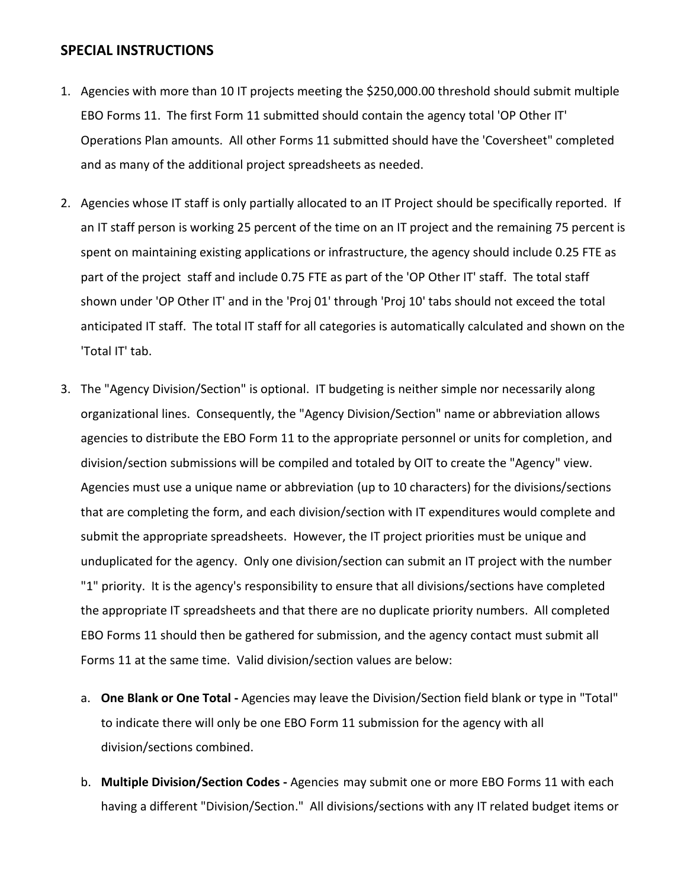### **SPECIAL INSTRUCTIONS**

- 1. Agencies with more than 10 IT projects meeting the \$250,000.00 threshold should submit multiple EBO Forms 11. The first Form 11 submitted should contain the agency total 'OP Other IT' Operations Plan amounts. All other Forms 11 submitted should have the 'Coversheet" completed and as many of the additional project spreadsheets as needed.
- 2. Agencies whose IT staff is only partially allocated to an IT Project should be specifically reported. If an IT staff person is working 25 percent of the time on an IT project and the remaining 75 percent is spent on maintaining existing applications or infrastructure, the agency should include 0.25 FTE as part of the project staff and include 0.75 FTE as part of the 'OP Other IT' staff. The total staff shown under 'OP Other IT' and in the 'Proj 01' through 'Proj 10' tabs should not exceed the total anticipated IT staff. The total IT staff for all categories is automatically calculated and shown on the 'Total IT' tab.
- 3. The "Agency Division/Section" is optional. IT budgeting is neither simple nor necessarily along organizational lines. Consequently, the "Agency Division/Section" name or abbreviation allows agencies to distribute the EBO Form 11 to the appropriate personnel or units for completion, and division/section submissions will be compiled and totaled by OIT to create the "Agency" view. Agencies must use a unique name or abbreviation (up to 10 characters) for the divisions/sections that are completing the form, and each division/section with IT expenditures would complete and submit the appropriate spreadsheets. However, the IT project priorities must be unique and unduplicated for the agency. Only one division/section can submit an IT project with the number "1" priority. It is the agency's responsibility to ensure that all divisions/sections have completed the appropriate IT spreadsheets and that there are no duplicate priority numbers. All completed EBO Forms 11 should then be gathered for submission, and the agency contact must submit all Forms 11 at the same time. Valid division/section values are below:
	- a. **One Blank or One Total -** Agencies may leave the Division/Section field blank or type in "Total" to indicate there will only be one EBO Form 11 submission for the agency with all division/sections combined.
	- b. **Multiple Division/Section Codes -** Agencies may submit one or more EBO Forms 11 with each having a different "Division/Section." All divisions/sections with any IT related budget items or